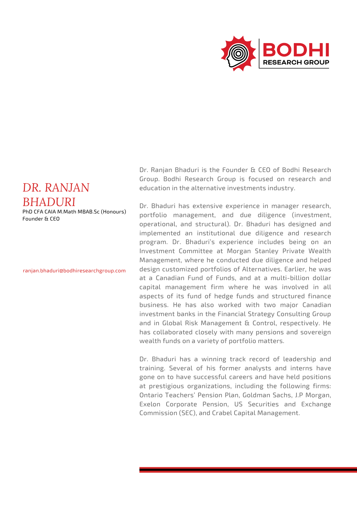

## *DR. RANJAN BHADURI*

PhD CFA CAIA M.Math MBAB.Sc (Honours) Founder & CEO

ranjan.bhaduri@bodhiresearchgroup.com

Dr. Ranjan Bhaduri is the Founder & CEO of Bodhi Research Group. Bodhi Research Group is focused on research and education in the alternative investments industry.

Dr. Bhaduri has extensive experience in manager research, portfolio management, and due diligence (investment, operational, and structural). Dr. Bhaduri has designed and implemented an institutional due diligence and research program. Dr. Bhaduri's experience includes being on an Investment Committee at Morgan Stanley Private Wealth Management, where he conducted due diligence and helped design customized portfolios of Alternatives. Earlier, he was at a Canadian Fund of Funds, and at a multi-billion dollar capital management firm where he was involved in all aspects of its fund of hedge funds and structured finance business. He has also worked with two major Canadian investment banks in the Financial Strategy Consulting Group and in Global Risk Management & Control, respectively. He has collaborated closely with many pensions and sovereign wealth funds on a variety of portfolio matters.

Dr. Bhaduri has a winning track record of leadership and training. Several of his former analysts and interns have gone on to have successful careers and have held positions at prestigious organizations, including the following firms: Ontario Teachers' Pension Plan, Goldman Sachs, J.P Morgan, Exelon Corporate Pension, US Securities and Exchange Commission (SEC), and Crabel Capital Management.